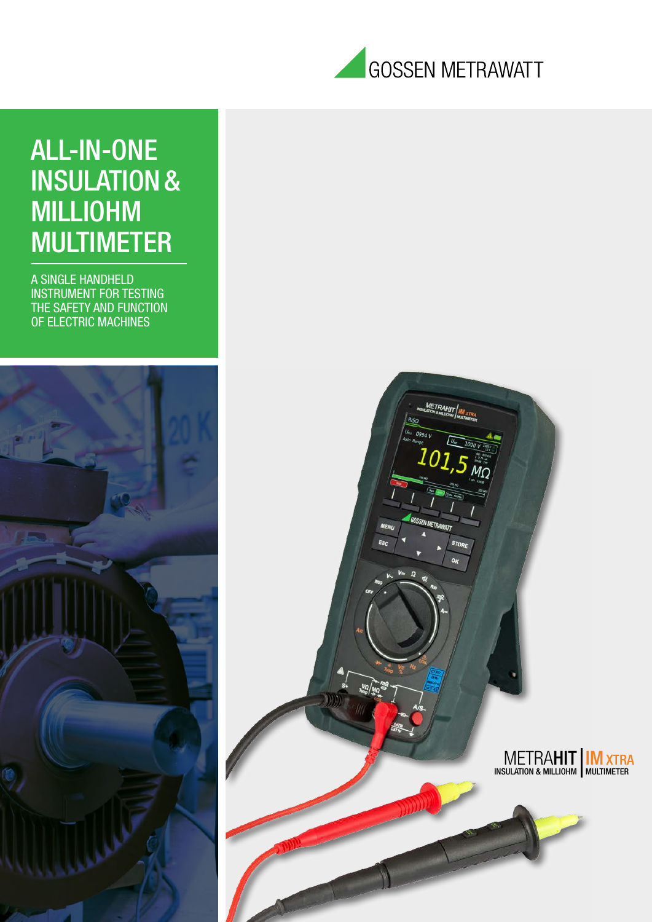

# ALL-IN-ONE INSULATION& MILLIOHM MULTIMETER

A SINGLE HANDHELD INSTRUMENT FOR TESTING THE SAFETY AND FUNCTION OF ELECTRIC MACHINES

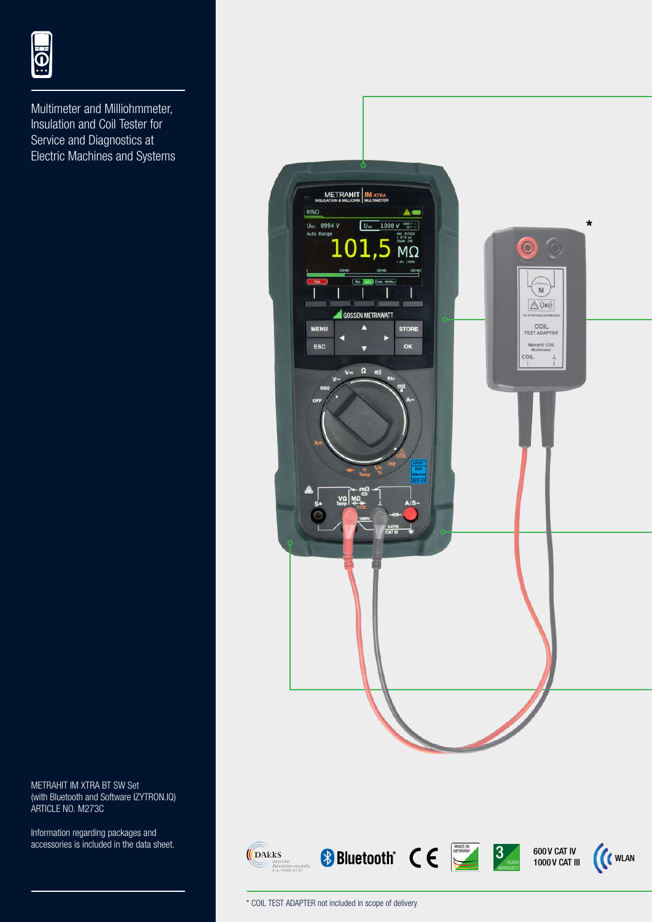

Multimeter and Milliohmmeter, Insulation and Coil Tester for Service and Diagnostics at Electric Machines and Systems

METRAHIT IM XTRA BT SW Set (with Bluetooth and Software IZYTRON.IQ) ARTICLE NO. M273C

Information regarding packages and accessories is included in the data sheet.



\* COIL TEST ADAPTER not included in scope of delivery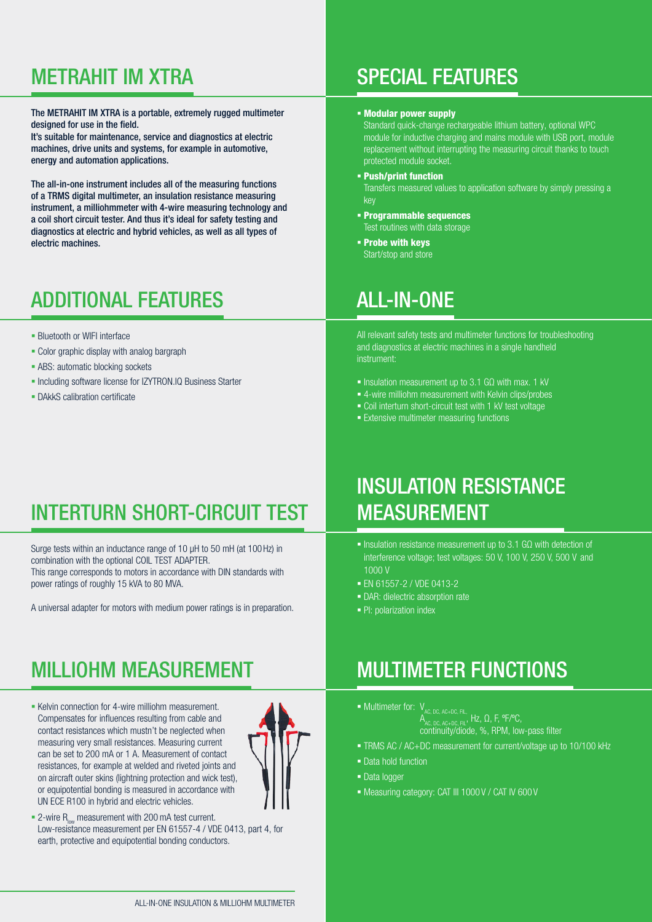The METRAHIT IM XTRA is a portable, extremely rugged multimeter designed for use in the field.

It's suitable for maintenance, service and diagnostics at electric machines, drive units and systems, for example in automotive, energy and automation applications.

The all-in-one instrument includes all of the measuring functions of a TRMS digital multimeter, an insulation resistance measuring instrument, a milliohmmeter with 4-wire measuring technology and a coil short circuit tester. And thus it's ideal for safety testing and diagnostics at electric and hybrid vehicles, as well as all types of electric machines.

### ADDITIONAL FEATURES

- **Bluetooth or WIFI interface**
- Color graphic display with analog bargraph
- **ABS: automatic blocking sockets**
- Including software license for IZYTRON.IQ Business Starter
- **DAkkS calibration certificate**

### METRAHIT IM XTRA SPECIAL FEATURES

#### Modular power supply

Standard quick-change rechargeable lithium battery, optional WPC module for inductive charging and mains module with USB port, module replacement without interrupting the measuring circuit thanks to touch protected module socket.

- Push/print function Transfers measured values to application software by simply pressing a key
- Programmable sequences Test routines with data storage
- Probe with keys Start/stop and store

#### ALL-IN-ONE

All relevant safety tests and multimeter functions for troubleshooting and diagnostics at electric machines in a single handheld instrument:

- Insulation measurement up to 3.1 GQ with max. 1 kV
- 4-wire milliohm measurement with Kelvin clips/probes
- Coil interturn short-circuit test with 1 kV test voltage
- **Extensive multimeter measuring functions**

### INTERTURN SHORT-CIRCUIT TEST

Surge tests within an inductance range of 10 μH to 50 mH (at 100Hz) in combination with the optional COIL TEST ADAPTER. This range corresponds to motors in accordance with DIN standards with power ratings of roughly 15 kVA to 80 MVA.

A universal adapter for motors with medium power ratings is in preparation.

### MILLIOHM MEASUREMENT

**Kelvin connection for 4-wire milliohm measurement.** Compensates for influences resulting from cable and contact resistances which mustn't be neglected when measuring very small resistances. Measuring current can be set to 200 mA or 1 A. Measurement of contact resistances, for example at welded and riveted joints and on aircraft outer skins (lightning protection and wick test), or equipotential bonding is measured in accordance with UN ECE R100 in hybrid and electric vehicles.



 $\blacksquare$  2-wire R<sub>low</sub> measurement with 200 mA test current. Low-resistance measurement per EN 61557-4 / VDE 0413, part 4, for earth, protective and equipotential bonding conductors.

#### INSULATION RESISTANCE MEASUREMENT

- Insulation resistance measurement up to 3.1 GΩ with detection of interference voltage; test voltages: 50 V, 100 V, 250 V, 500 V and 1000 V
- EN 61557-2 / VDE 0413-2
- DAR: dielectric absorption rate
- PI: polarization index

#### MULTIMETER FUNCTIONS

- $\blacksquare$  Multimeter for:  $V_{AC, DC, AC+DC, FL}$ A<sub>AC, DC, AC+DC, FIL</sub>, Hz, Ω, F, °F/°C, continuity/diode, %, RPM, low-pass filter
	-
- TRMS AC / AC+DC measurement for current/voltage up to 10/100 kHz
- Data hold function
- **Data logger**
- $\blacksquare$  Measuring category: CAT III 1000 V / CAT IV 600 V